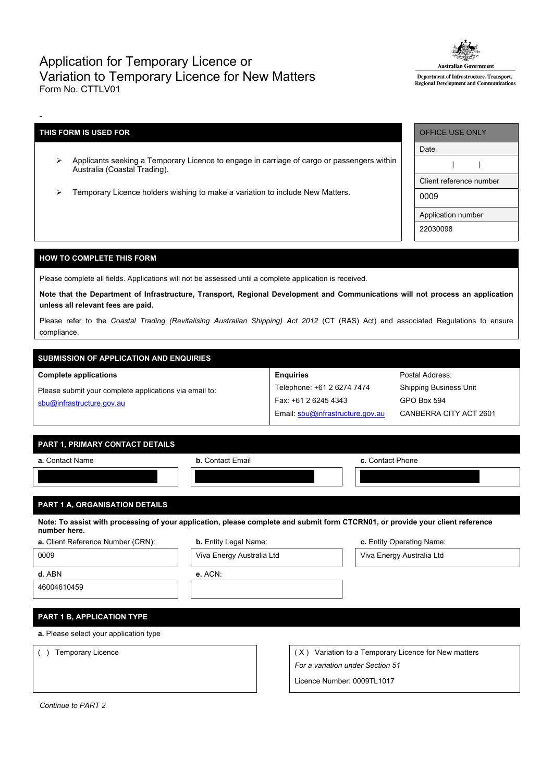## Application for Temporary Licence or Variation to Temporary Licence for New Matters Form No. CTTLV01



Department of Infrastructure, Transport, **Regional Development and Communications** 

## **THIS FORM IS USED FOR**

-

- Applicants seeking a Temporary Licence to engage in carriage of cargo or passengers within Australia (Coastal Trading).
- > Temporary Licence holders wishing to make a variation to include New Matters.

| <b>OFFICE USE ONLY</b>  |  |  |  |  |  |
|-------------------------|--|--|--|--|--|
| Date                    |  |  |  |  |  |
|                         |  |  |  |  |  |
| Client reference number |  |  |  |  |  |
| 0009                    |  |  |  |  |  |
| Application number      |  |  |  |  |  |
| 22030098                |  |  |  |  |  |

Postal Address: Shipping Business Unit

GPO Box 594

CANBERRA CITY ACT 2601

### **HOW TO COMPLETE THIS FORM**

Please complete all fields. Applications will not be assessed until a complete application is received.

Note that the Department of Infrastructure, Transport, Regional Development and Communications will not process an application **unless all relevant fees are paid.**

Please refer to the *Coastal Trading (Revitalising Australian Shipping) Act 2012* (CT (RAS) Act) and associated Regulations to ensure compliance.

**Enquiries**

Telephone: +61 2 6274 7474 Fax: +61 2 6245 4343

Email: [sbu@infrastructure.gov.au](mailto:sbu@infrastructure.gov.au)

# **SUBMISSION OF APPLICATION AND ENQUIRIES**

**Complete applications**

Please submit your complete applications via email to: [sbu@infrastructure.gov.au](mailto:sbu@infrastructure.gov.au)

| . . ___ . ___ _ _ _ |  |  |
|---------------------|--|--|

| PART 1, PRIMARY CONTACT DETAILS   |                              |                                                                                                                                |
|-----------------------------------|------------------------------|--------------------------------------------------------------------------------------------------------------------------------|
| <b>a.</b> Contact Name            | <b>b.</b> Contact Email      | c. Contact Phone                                                                                                               |
|                                   |                              |                                                                                                                                |
|                                   |                              |                                                                                                                                |
| PART 1 A, ORGANISATION DETAILS    |                              |                                                                                                                                |
| number here.                      |                              | Note: To assist with processing of your application, please complete and submit form CTCRN01, or provide your client reference |
| a. Client Reference Number (CRN): | <b>b.</b> Entity Legal Name: | c. Entity Operating Name:                                                                                                      |
| 0009                              | Viva Energy Australia Ltd    | Viva Energy Australia Ltd                                                                                                      |

|                                        | $\cdots$ , and $\cdots$ are set to set that $\cdots$ |     |                                                  |
|----------------------------------------|------------------------------------------------------|-----|--------------------------------------------------|
| d. ABN                                 | e. ACN:                                              |     |                                                  |
| 46004610459                            |                                                      |     |                                                  |
|                                        |                                                      |     |                                                  |
| <b>PART 1 B, APPLICATION TYPE</b>      |                                                      |     |                                                  |
| a. Please select your application type |                                                      |     |                                                  |
| Temporary Licence                      |                                                      | (X) | Variation to a Temporary Licence for New matters |
|                                        |                                                      |     | For a variation under Section 51                 |

Licence Number: 0009TL1017

*Continue to PART 2*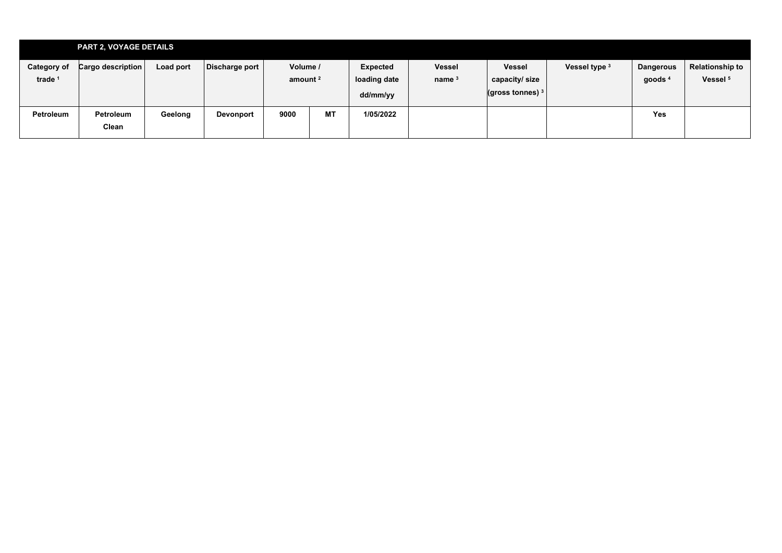|                                          | <b>PART 2, VOYAGE DETAILS</b> |           |                |                                 |           |                          |                           |                                |               |                  |                                               |
|------------------------------------------|-------------------------------|-----------|----------------|---------------------------------|-----------|--------------------------|---------------------------|--------------------------------|---------------|------------------|-----------------------------------------------|
| <b>Category of</b><br>trade <sup>1</sup> | Cargo description             | Load port | Discharge port | Volume /<br>amount <sup>2</sup> |           | Expected<br>loading date | <b>Vessel</b><br>name $3$ | <b>Vessel</b><br>capacity/size | Vessel type 3 | <b>Dangerous</b> | <b>Relationship to</b><br>Vessel <sup>5</sup> |
|                                          |                               |           |                |                                 |           | dd/mm/yy                 |                           | (gross tonnes) $3 +$           |               | goods $4$        |                                               |
| Petroleum                                | Petroleum<br>Clean            | Geelong   | Devonport      | 9000                            | <b>MT</b> | 1/05/2022                |                           |                                |               | <b>Yes</b>       |                                               |